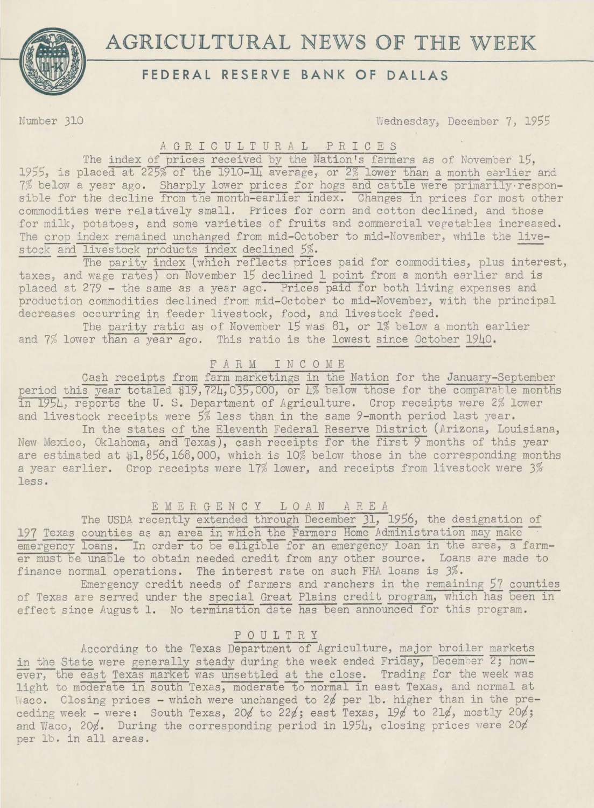

# **AGRICULTURAL NEWS OF THE WEEK**

## **FEDERAL RESERVE BANK OF DALLAS**

Number 310 **Riednesday, December 7, 1955** 

#### A G R I C U L T U R A L P R I C E S

The index of prices received by the Nation's farmers as of November 15, 1955, is placed at  $225\%$  of the 1910-14 average, or  $2\%$  lower than a month earlier and 7% below a year ago. Sharply lower prices for hogs and cattle were primarily responsible for the decline from the month-earlier index. Changes in prices for most other commodities were relatively small. Prices for corn and cotton declined, and those for milk, potatoes, and some varieties of fruits and commercial vegetables increased. The crop index remained unchanged from mid-October to mid-November, while the livestock and livestock products index declined 5%.

The parity index (which reflects prices paid for commodities, plus interest, taxes, and wage rates) on November 15 declined 1 point from a month earlier and is placed at 279 - the same as a year ago. Prices paid for both living expenses and production commodities declined from mid-October to mid-November, with the principal decreases occurring in feeder livestock, food, and livestock feed.

The parity ratio as of November 15 was 81, or 1% below a month earlier and 7% lower than a year-ago. This ratio is the lowest since October 1940.

#### F A R M I N C 0 M E

Cash receipts from farm marketings in the Nation for the January-September period this year totaled \$19,724,035,000, or 4% below those for the comparable months in 1954, reports the U. S. Department of Agriculture. Crop receipts were 2% lower and livestock receipts were *5%* less than in the same 9-month period last year.

In the states of the Eleventh Federal Reserve District (Arizona, Louisiana, New Mexico, Oklahoma, and Texas), cash receipts for the first 9 months of this year are estimated at  $1,856,168,000$ , which is  $10\%$  below those in the corresponding months a year earlier. Crop receipts were 17% lower, and receipts from livestock were 3% less.

### E M E R G E N C Y 1 0 *A* N *A* R E *A*

The USDA recently extended through December 31, 1956, the designation of 197 Texas counties as an area in which the Farmers Home Administration may make emergency loans. In order to be eligible for an emergency loan in the area, a farmer must be unable to obtain needed credit from any other source. Loans are made to finance normal operations. The interest rate on such FHA loans is 3%.

Emergency credit needs of farmers and ranchers in the remaining 57 counties of Texas are served under the special Great Plains credit program, which has been in effect since August 1. No termination date has been announced for this program.

#### P 0 U 1 T R Y

According to the Texas Department of Agriculture, major broiler markets in the State were generally steady during the week ended Friday, December  $2$ ; how- $\overline{ever}$ , the east Texas market was unsettled at the close. Trading for the week was light to moderate in south Texas, moderate to normal in east Texas, and normal at  $Wacc$ . Closing prices - which were unchanged to 2 $\not\!$  per lb. higher than in the preceding week - were: South Texas, 20¢ to 22¢; east Texas, 19¢ to 21¢, mostly 20¢; and Waco, 20 $\ell$ . During the corresponding period in 1954, closing prices were 20 $\ell$ per lb. in all areas.